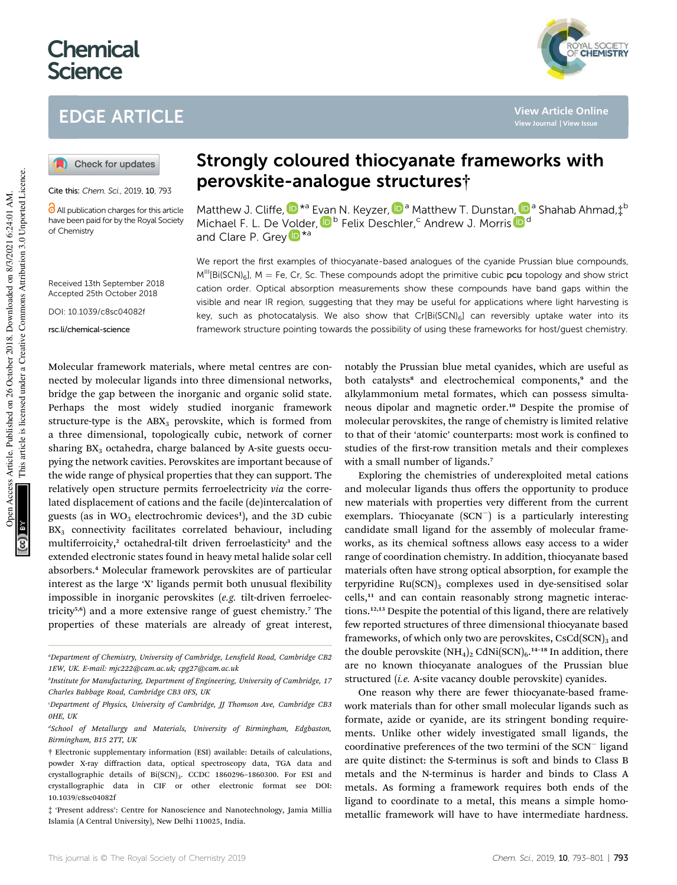# **Chemical Science**

# EDGE ARTICLE



**View Article Online**

Check for updates

Cite this: Chem. Sci., 2019, 10, 793

**C** All publication charges for this article have been paid for by the Royal Society of Chemistry

#### Received 13th September 2018 Accepted 25th October 2018

DOI: 10.1039/c8sc04082f

rsc.li/chemical-science

# Strongly coloured thiocyanate frameworks with perovskite-analogue structures†

Matthew J. Cliffe,  $\mathbb{D}^{*a}$  Evan N. Keyzer,  $\mathbb{D}^{a}$  Matthew T. Dunstan,  $\mathbb{D}^{a}$  Shahab Ahmad, $\ddagger^{b}$ Michael F. L. De Volder, D<sup>b</sup> Felix Deschler,<sup>c</sup> Andrew J. Morris D<sup>d</sup> and Clare P. Grey **D**<sup>\*a</sup>

We report the first examples of thiocyanate-based analogues of the cyanide Prussian blue compounds,  $M^{\text{III}}[Bi(SCN)_6]$ , M = Fe, Cr, Sc. These compounds adopt the primitive cubic pcu topology and show strict cation order. Optical absorption measurements show these compounds have band gaps within the visible and near IR region, suggesting that they may be useful for applications where light harvesting is key, such as photocatalysis. We also show that  $Cr[Bi(SCN)_6]$  can reversibly uptake water into its framework structure pointing towards the possibility of using these frameworks for host/guest chemistry.

Molecular framework materials, where metal centres are connected by molecular ligands into three dimensional networks, bridge the gap between the inorganic and organic solid state. Perhaps the most widely studied inorganic framework structure-type is the  $ABX_3$  perovskite, which is formed from a three dimensional, topologically cubic, network of corner sharing  $BX_3$  octahedra, charge balanced by A-site guests occupying the network cavities. Perovskites are important because of the wide range of physical properties that they can support. The relatively open structure permits ferroelectricity *via* the correlated displacement of cations and the facile (de)intercalation of guests (as in WO $_3$  electrochromic devices<sup>1</sup>), and the 3D cubic BX<sub>3</sub> connectivity facilitates correlated behaviour, including multiferroicity,<sup>2</sup> octahedral-tilt driven ferroelasticity<sup>3</sup> and the extended electronic states found in heavy metal halide solar cell absorbers.<sup>4</sup> Molecular framework perovskites are of particular interest as the large 'X' ligands permit both unusual flexibility impossible in inorganic perovskites (*e.g.* tilt-driven ferroelectricity<sup>5,6</sup>) and a more extensive range of guest chemistry.<sup>7</sup> The properties of these materials are already of great interest,

notably the Prussian blue metal cyanides, which are useful as both catalysts<sup>8</sup> and electrochemical components,<sup>9</sup> and the alkylammonium metal formates, which can possess simultaneous dipolar and magnetic order.<sup>10</sup> Despite the promise of molecular perovskites, the range of chemistry is limited relative to that of their 'atomic' counterparts: most work is confined to studies of the first-row transition metals and their complexes with a small number of ligands.<sup>7</sup>

Exploring the chemistries of underexploited metal cations and molecular ligands thus offers the opportunity to produce new materials with properties very different from the current exemplars. Thiocyanate (SCN<sup>-</sup>) is a particularly interesting candidate small ligand for the assembly of molecular frameworks, as its chemical softness allows easy access to a wider range of coordination chemistry. In addition, thiocyanate based materials often have strong optical absorption, for example the terpyridine  $Ru(SCN)_3$  complexes used in dye-sensitised solar cells,<sup>11</sup> and can contain reasonably strong magnetic interactions.12,13 Despite the potential of this ligand, there are relatively few reported structures of three dimensional thiocyanate based frameworks, of which only two are perovskites,  $CsCd(SCN)_{3}$  and the double perovskite  $(NH_4)_2$  CdNi $(SCN)_6$ .<sup>14-18</sup> In addition, there are no known thiocyanate analogues of the Prussian blue structured (*i.e.* A-site vacancy double perovskite) cyanides.

One reason why there are fewer thiocyanate-based framework materials than for other small molecular ligands such as formate, azide or cyanide, are its stringent bonding requirements. Unlike other widely investigated small ligands, the coordinative preferences of the two termini of the SCN<sup>-</sup> ligand are quite distinct: the S-terminus is soft and binds to Class B metals and the N-terminus is harder and binds to Class A metals. As forming a framework requires both ends of the ligand to coordinate to a metal, this means a simple homometallic framework will have to have intermediate hardness.

<sup>&</sup>lt;sup>a</sup>Department of Chemistry, University of Cambridge, Lens*field Road, Cambridge CB2 1EW, UK. E-mail: mjc222@cam.ac.uk; cpg27@cam.ac.uk*

*b Institute for Manufacturing, Department of Engineering, University of Cambridge, 17 Charles Babbage Road, Cambridge CB3 0FS, UK*

*<sup>c</sup>Department of Physics, University of Cambridge, JJ Thomson Ave, Cambridge CB3 0HE, UK*

*<sup>d</sup>School of Metallurgy and Materials, University of Birmingham, Edgbaston, Birmingham, B15 2TT, UK*

<sup>†</sup> Electronic supplementary information (ESI) available: Details of calculations, powder X-ray diffraction data, optical spectroscopy data, TGA data and crystallographic details of Bi(SCN)<sub>3</sub>. CCDC 1860296-1860300. For ESI and crystallographic data in CIF or other electronic format see DOI: 10.1039/c8sc04082f

<sup>‡</sup> 'Present address': Centre for Nanoscience and Nanotechnology, Jamia Millia Islamia (A Central University), New Delhi 110025, India.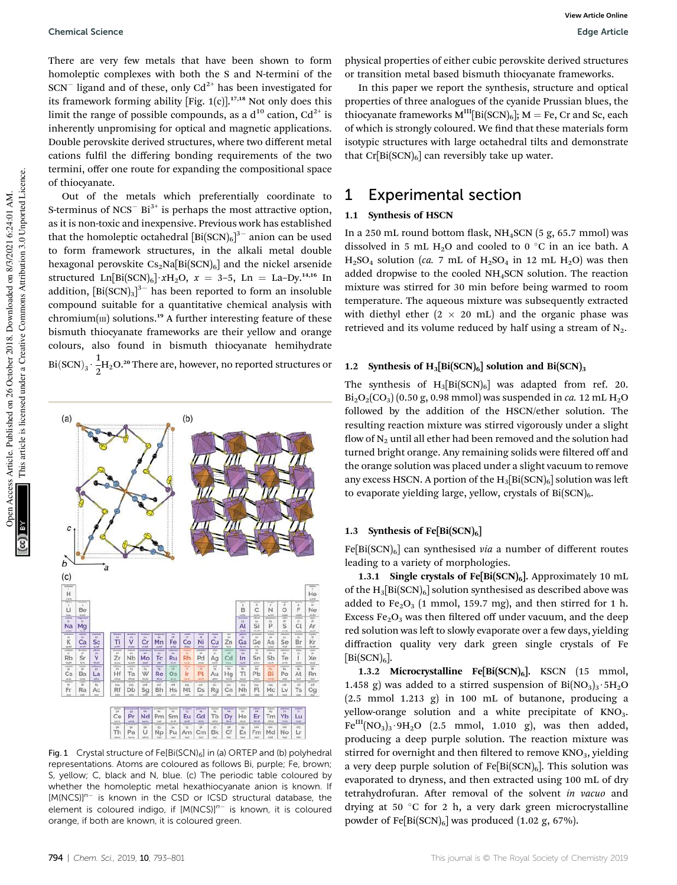There are very few metals that have been shown to form homoleptic complexes with both the S and N-termini of the  $SCN^-$  ligand and of these, only  $Cd^{2+}$  has been investigated for its framework forming ability [Fig.  $1(c)$ ].<sup>17,18</sup> Not only does this limit the range of possible compounds, as a  $d^{10}$  cation,  $Cd^{2+}$  is inherently unpromising for optical and magnetic applications. Double perovskite derived structures, where two different metal cations fulfil the differing bonding requirements of the two termini, offer one route for expanding the compositional space of thiocyanate.

Out of the metals which preferentially coordinate to S-terminus of NCS<sup>-</sup> Bi<sup>3+</sup> is perhaps the most attractive option, as it is non-toxic and inexpensive. Previous work has established that the homoleptic octahedral  $[\mathrm{Bi}(\mathrm{SCN})_6]^{3-}$  anion can be used to form framework structures, in the alkali metal double hexagonal perovskite  $Cs<sub>2</sub>Na[Bi(SCN)<sub>6</sub>]$  and the nickel arsenide structured Ln[Bi(SCN)<sub>6</sub>]  $xH_2O$ ,  $x = 3-5$ , Ln = La-Dy.<sup>14,16</sup> In addition,  $[\text{Bi}(\text{SCN})_3]^{3-}$  has been reported to form an insoluble compound suitable for a quantitative chemical analysis with chromium( $\text{III}$ ) solutions.<sup>19</sup> A further interesting feature of these bismuth thiocyanate frameworks are their yellow and orange colours, also found in bismuth thiocyanate hemihydrate  $Bi(SCN)_3 \cdot \frac{1}{2}$  $\frac{1}{2}$ H<sub>2</sub>O.<sup>20</sup> There are, however, no reported structures or



Fig. 1 Crystal structure of Fe[Bi(SCN) $_6$ ] in (a) ORTEP and (b) polyhedral representations. Atoms are coloured as follows Bi, purple; Fe, brown; S, yellow; C, black and N, blue. (c) The periodic table coloured by whether the homoleptic metal hexathiocyanate anion is known. If  $[M(NCS)]^{n-}$  is known in the CSD or ICSD structural database, the element is coloured indigo, if [M(NCS)]<sup>n-</sup> is known, it is coloured orange, if both are known, it is coloured green.

physical properties of either cubic perovskite derived structures or transition metal based bismuth thiocyanate frameworks.

In this paper we report the synthesis, structure and optical properties of three analogues of the cyanide Prussian blues, the thiocyanate frameworks  $M^{III}[Bi(SCN)_6]$ ;  $M = Fe$ , Cr and Sc, each of which is strongly coloured. We find that these materials form isotypic structures with large octahedral tilts and demonstrate that  $Cr[Bi(SCN)<sub>6</sub>]$  can reversibly take up water.

### 1 Experimental section

#### 1.1 Synthesis of HSCN

In a 250 mL round bottom flask,  $NH_4$ SCN (5 g, 65.7 mmol) was dissolved in 5 mL H<sub>2</sub>O and cooled to 0  $\degree$ C in an ice bath. A  $H<sub>2</sub>SO<sub>4</sub>$  solution (*ca.* 7 mL of  $H<sub>2</sub>SO<sub>4</sub>$  in 12 mL  $H<sub>2</sub>O$ ) was then added dropwise to the cooled NH4SCN solution. The reaction mixture was stirred for 30 min before being warmed to room temperature. The aqueous mixture was subsequently extracted with diethyl ether  $(2 \times 20 \text{ mL})$  and the organic phase was retrieved and its volume reduced by half using a stream of  $N_2$ .

#### 1.2 Synthesis of  $H_3[Bi(SCN)_6]$  solution and  $Bi(SCN)_3$

The synthesis of  $H_3[Bi(SCN)_6]$  was adapted from ref. 20.  $Bi<sub>2</sub>O<sub>2</sub>(CO<sub>3</sub>)$  (0.50 g, 0.98 mmol) was suspended in *ca*. 12 mL  $H<sub>2</sub>O$ followed by the addition of the HSCN/ether solution. The resulting reaction mixture was stirred vigorously under a slight flow of  $N_2$  until all ether had been removed and the solution had turned bright orange. Any remaining solids were filtered off and the orange solution was placed under a slight vacuum to remove any excess HSCN. A portion of the  $H_3[Bi(SCN)_6]$  solution was left to evaporate yielding large, yellow, crystals of  $Bi(SCN)_{6}$ .

#### 1.3 Synthesis of Fe $[Bi(SCN)_6]$

 $Fe[Bi(SCN)<sub>6</sub>]$  can synthesised *via* a number of different routes leading to a variety of morphologies.

1.3.1 Single crystals of Fe[Bi(SCN) $_6$ ]. Approximately 10 mL of the  $H_3[Bi(SCN)_6]$  solution synthesised as described above was added to  $Fe<sub>2</sub>O<sub>3</sub>$  (1 mmol, 159.7 mg), and then stirred for 1 h. Excess  $Fe<sub>2</sub>O<sub>3</sub>$  was then filtered off under vacuum, and the deep red solution was left to slowly evaporate over a few days, yielding diffraction quality very dark green single crystals of Fe  $[Bi(SCN)<sub>6</sub>].$ 

1.3.2 Microcrystalline Fe[Bi(SCN) $_6$ ]. KSCN (15 mmol, 1.458 g) was added to a stirred suspension of  $Bi(NO<sub>3</sub>)<sub>3</sub>·5H<sub>2</sub>O$ (2.5 mmol 1.213 g) in 100 mL of butanone, producing a yellow-orange solution and a white precipitate of KNO<sub>3</sub>.  $Fe^{III}(NO<sub>3</sub>)<sub>3</sub>·9H<sub>2</sub>O$  (2.5 mmol, 1.010 g), was then added, producing a deep purple solution. The reaction mixture was stirred for overnight and then filtered to remove  $KNO<sub>3</sub>$ , yielding a very deep purple solution of  $Fe[Bi(SCN)_6]$ . This solution was evaporated to dryness, and then extracted using 100 mL of dry tetrahydrofuran. After removal of the solvent *in vacuo* and drying at 50  $\degree$ C for 2 h, a very dark green microcrystalline powder of Fe[Bi(SCN)<sub>6</sub>] was produced (1.02 g, 67%).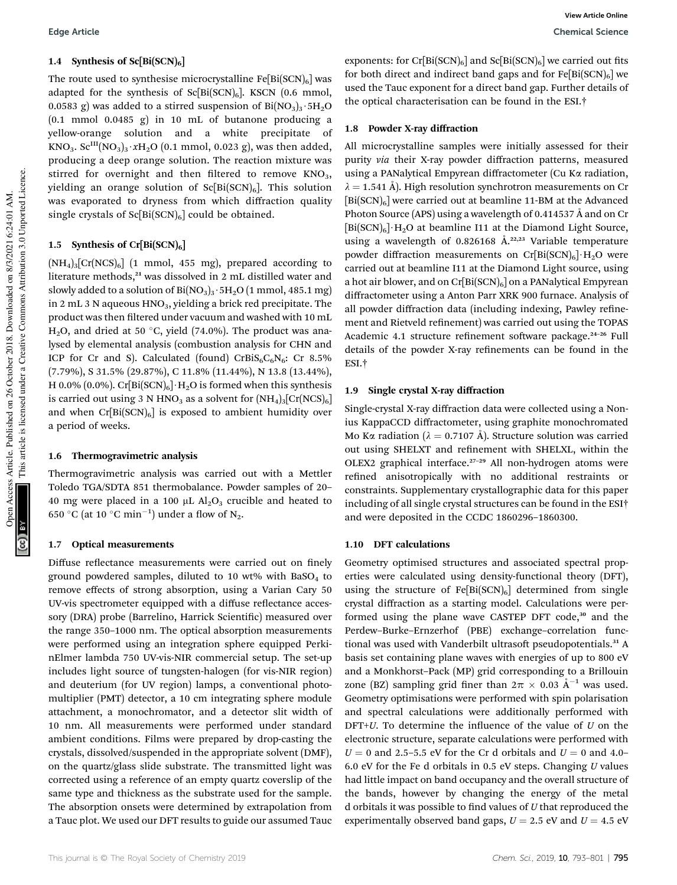#### 1.4 Synthesis of  $Sc[Bi(SCN)_6]$

The route used to synthesise microcrystalline  $Fe[Bi(SCN)_6]$  was adapted for the synthesis of  $Sc[Bi(SCN)_6]$ . KSCN (0.6 mmol, 0.0583 g) was added to a stirred suspension of  $Bi(NO<sub>3</sub>)<sub>3</sub>·5H<sub>2</sub>O$  $(0.1 \text{ mmol } 0.0485 \text{ g})$  in 10 mL of butanone producing a yellow-orange solution and a white precipitate of KNO<sub>3</sub>.  $\text{SC}^{\text{III}}(\text{NO}_3)_3 \cdot x\text{H}_2\text{O}$  (0.1 mmol, 0.023 g), was then added, producing a deep orange solution. The reaction mixture was stirred for overnight and then filtered to remove  $KNO<sub>3</sub>$ , yielding an orange solution of  $Sc[Bi(SCN)_6]$ . This solution was evaporated to dryness from which diffraction quality single crystals of  $Sc[Bi(SCN)_6]$  could be obtained.

#### 1.5 Synthesis of  $Cr[Bi(SCN)_6]$

 $(NH_4)_3[Cr(NCS)_6]$  (1 mmol, 455 mg), prepared according to literature methods,<sup>21</sup> was dissolved in 2 mL distilled water and slowly added to a solution of  $Bi(NO<sub>3</sub>)<sub>3</sub>·5H<sub>2</sub>O (1 mmol, 485.1 mg)$ in 2 mL 3 N aqueous HNO<sub>3</sub>, yielding a brick red precipitate. The product was then filtered under vacuum and washed with 10 mL H<sub>2</sub>O, and dried at 50 °C, yield (74.0%). The product was analysed by elemental analysis (combustion analysis for CHN and ICP for Cr and S). Calculated (found) CrBiS<sub>6</sub>C<sub>6</sub>N<sub>6</sub>: Cr 8.5% (7.79%), S 31.5% (29.87%), C 11.8% (11.44%), N 13.8 (13.44%), H 0.0% (0.0%). Cr[Bi(SCN)<sub>6</sub>] $\cdot$ H<sub>2</sub>O is formed when this synthesis is carried out using 3 N HNO<sub>3</sub> as a solvent for  $(NH_4)_3[Cr(NCS)_6]$ and when  $Cr[Bi(SCN)<sub>6</sub>]$  is exposed to ambient humidity over a period of weeks.

#### 1.6 Thermogravimetric analysis

Thermogravimetric analysis was carried out with a Mettler Toledo TGA/SDTA 851 thermobalance. Powder samples of 20– 40 mg were placed in a 100  $\mu$ L Al<sub>2</sub>O<sub>3</sub> crucible and heated to 650 °C (at 10 °C min $^{-1}$ ) under a flow of N<sub>2</sub>.

#### 1.7 Optical measurements

Diffuse reflectance measurements were carried out on finely ground powdered samples, diluted to 10 wt% with BaSO<sub>4</sub> to remove effects of strong absorption, using a Varian Cary 50 UV-vis spectrometer equipped with a diffuse reflectance accessory (DRA) probe (Barrelino, Harrick Scientific) measured over the range 350–1000 nm. The optical absorption measurements were performed using an integration sphere equipped PerkinElmer lambda 750 UV-vis-NIR commercial setup. The set-up includes light source of tungsten-halogen (for vis-NIR region) and deuterium (for UV region) lamps, a conventional photomultiplier (PMT) detector, a 10 cm integrating sphere module attachment, a monochromator, and a detector slit width of 10 nm. All measurements were performed under standard ambient conditions. Films were prepared by drop-casting the crystals, dissolved/suspended in the appropriate solvent (DMF), on the quartz/glass slide substrate. The transmitted light was corrected using a reference of an empty quartz coverslip of the same type and thickness as the substrate used for the sample. The absorption onsets were determined by extrapolation from a Tauc plot. We used our DFT results to guide our assumed Tauc

exponents: for  $Cr[Bi(SCN)_6]$  and  $Sc[Bi(SCN)_6]$  we carried out fits for both direct and indirect band gaps and for  $Fe[Bi(SCN)_6]$  we used the Tauc exponent for a direct band gap. Further details of the optical characterisation can be found in the ESI.†

#### 1.8 Powder X-ray diffraction

All microcrystalline samples were initially assessed for their purity *via* their X-ray powder diffraction patterns, measured using a PANalytical Empyrean diffractometer (Cu Ka radiation,  $\lambda = 1.541$  Å). High resolution synchrotron measurements on Cr  $[Bi(SCN)<sub>6</sub>]$  were carried out at beamline 11-BM at the Advanced Photon Source (APS) using a wavelength of  $0.414537$  Å and on Cr  $[Bi(SCN)_6] \cdot H_2O$  at beamline I11 at the Diamond Light Source, using a wavelength of 0.826168  $A^{2,2,23}$  Variable temperature powder diffraction measurements on  $Cr[Bi(SCN)_6] \cdot H_2O$  were carried out at beamline I11 at the Diamond Light source, using a hot air blower, and on  $Cr[Bi(SCN)_6]$  on a PANalytical Empyrean diffractometer using a Anton Parr XRK 900 furnace. Analysis of all powder diffraction data (including indexing, Pawley refinement and Rietveld refinement) was carried out using the TOPAS Academic 4.1 structure refinement software package.<sup>24-26</sup> Full details of the powder X-ray refinements can be found in the ESI.†

#### 1.9 Single crystal X-ray diffraction

Single-crystal X-ray diffraction data were collected using a Nonius KappaCCD diffractometer, using graphite monochromated Mo K $\alpha$  radiation ( $\lambda = 0.7107$  Å). Structure solution was carried out using SHELXT and refinement with SHELXL, within the OLEX2 graphical interface.<sup>27-29</sup> All non-hydrogen atoms were refined anisotropically with no additional restraints or constraints. Supplementary crystallographic data for this paper including of all single crystal structures can be found in the ESI† and were deposited in the CCDC 1860296–1860300.

#### 1.10 DFT calculations

Geometry optimised structures and associated spectral properties were calculated using density-functional theory (DFT), using the structure of  $Fe[Bi(SCN)_6]$  determined from single crystal diffraction as a starting model. Calculations were performed using the plane wave CASTEP DFT code,<sup>30</sup> and the Perdew–Burke–Ernzerhof (PBE) exchange–correlation functional was used with Vanderbilt ultrasoft pseudopotentials.<sup>31</sup> A basis set containing plane waves with energies of up to 800 eV and a Monkhorst–Pack (MP) grid corresponding to a Brillouin zone (BZ) sampling grid finer than  $2\pi \times 0.03$   $\AA^{-1}$  was used. Geometry optimisations were performed with spin polarisation and spectral calculations were additionally performed with  $DFT+U$ . To determine the influence of the value of  $U$  on the electronic structure, separate calculations were performed with  $U = 0$  and 2.5–5.5 eV for the Cr d orbitals and  $U = 0$  and 4.0– 6.0 eV for the Fe d orbitals in 0.5 eV steps. Changing *U* values had little impact on band occupancy and the overall structure of the bands, however by changing the energy of the metal d orbitals it was possible to find values of *U* that reproduced the experimentally observed band gaps,  $U = 2.5$  eV and  $U = 4.5$  eV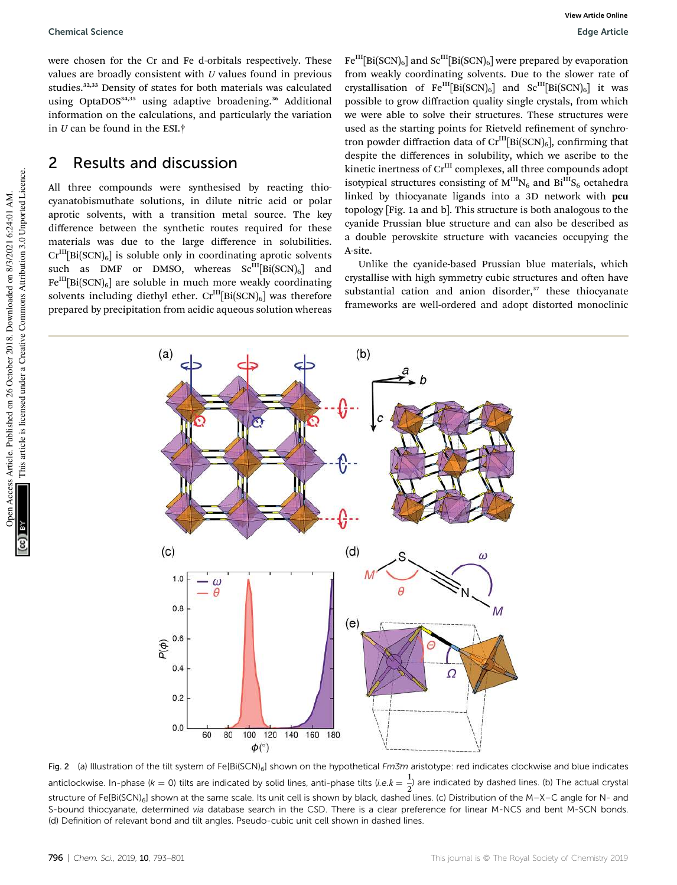were chosen for the Cr and Fe d-orbitals respectively. These values are broadly consistent with *U* values found in previous studies.32,33 Density of states for both materials was calculated using OptaDOS<sup>34,35</sup> using adaptive broadening.<sup>36</sup> Additional information on the calculations, and particularly the variation in *U* can be found in the ESI.†

### 2 Results and discussion

All three compounds were synthesised by reacting thiocyanatobismuthate solutions, in dilute nitric acid or polar aprotic solvents, with a transition metal source. The key difference between the synthetic routes required for these materials was due to the large difference in solubilities.  $\mathrm{Cr}^{\text{III}}[\text{Bi}(\text{SCN})_6]$  is soluble only in coordinating aprotic solvents such as DMF or DMSO, whereas  $\text{Sc}^{\text{III}}[\text{Bi}(\text{SCN})_6]$  and  $Fe^{III}[Bi(SCN)<sub>6</sub>]$  are soluble in much more weakly coordinating solvents including diethyl ether.  $\mathrm{Cr}^{\mathrm{III}}[\mathrm{Bi}(\mathrm{SCN})_6]$  was therefore prepared by precipitation from acidic aqueous solution whereas

 $Fe^{III}[Bi(SCN)_6]$  and  $Se^{III}[Bi(SCN)_6]$  were prepared by evaporation from weakly coordinating solvents. Due to the slower rate of crystallisation of  $Fe^{III}[Bi(SCN)_6]$  and  $Se^{III}[Bi(SCN)_6]$  it was possible to grow diffraction quality single crystals, from which we were able to solve their structures. These structures were used as the starting points for Rietveld refinement of synchrotron powder diffraction data of  $\mathrm{Cr^{III}[Bi(SCN)_{6}]}$ , confirming that despite the differences in solubility, which we ascribe to the kinetic inertness of Cr<sup>III</sup> complexes, all three compounds adopt isotypical structures consisting of  $M^{III}N_6$  and  $Bi^{III}S_6$  octahedra linked by thiocyanate ligands into a 3D network with pcu topology [Fig. 1a and b]. This structure is both analogous to the cyanide Prussian blue structure and can also be described as a double perovskite structure with vacancies occupying the A-site.

Unlike the cyanide-based Prussian blue materials, which crystallise with high symmetry cubic structures and often have substantial cation and anion disorder, $37$  these thiocyanate frameworks are well-ordered and adopt distorted monoclinic



Fig. 2 (a) Illustration of the tilt system of Fe[Bi(SCN)<sub>6</sub>] shown on the hypothetical Fm3m aristotype: red indicates clockwise and blue indicates anticlockwise. In-phase ( $k = 0$ ) tilts are indicated by solid lines, anti-phase tilts (*i.e.k* =  $\frac{1}{2}$  $\frac{1}{2}$ ) are indicated by dashed lines. (b) The actual crystal structure of Fe[Bi(SCN)<sub>6</sub>] shown at the same scale. Its unit cell is shown by black, dashed lines. (c) Distribution of the M–X–C angle for N- and S-bound thiocyanate, determined via database search in the CSD. There is a clear preference for linear M-NCS and bent M-SCN bonds. (d) Definition of relevant bond and tilt angles. Pseudo-cubic unit cell shown in dashed lines.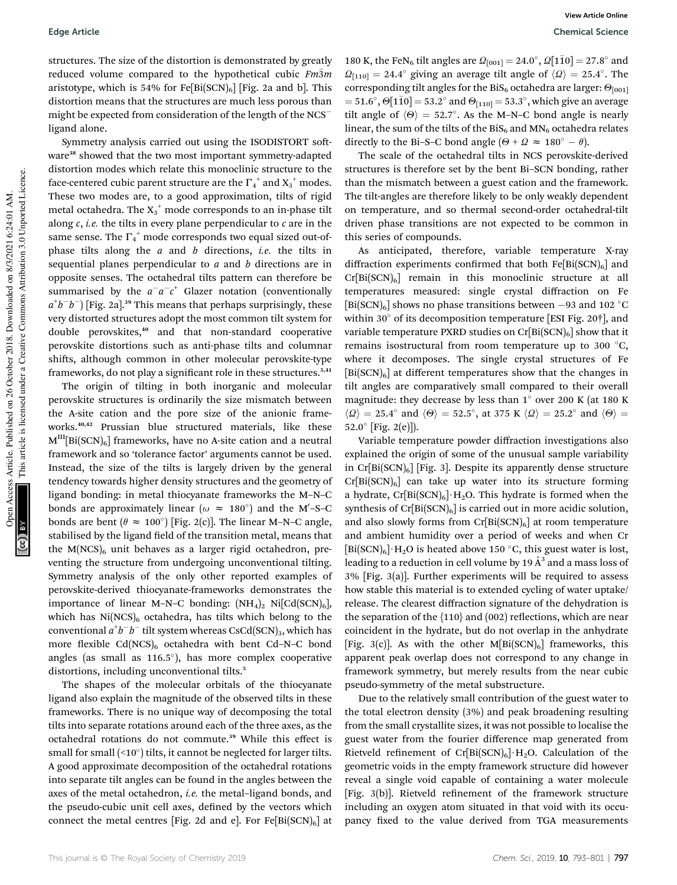structures. The size of the distortion is demonstrated by greatly reduced volume compared to the hypothetical cubic *Fm*3*<sup>m</sup>* aristotype, which is 54% for  $Fe[Bi(SCN)_6]$  [Fig. 2a and b]. This distortion means that the structures are much less porous than might be expected from consideration of the length of the NCSligand alone.

Symmetry analysis carried out using the ISODISTORT software<sup>38</sup> showed that the two most important symmetry-adapted distortion modes which relate this monoclinic structure to the face-centered cubic parent structure are the  $\Gamma_4^{\phantom{4}+}$  and  $\mathrm{X_3}^+$  modes. These two modes are, to a good approximation, tilts of rigid metal octahedra. The  $X_3^+$  mode corresponds to an in-phase tilt along *c*, *i.e.* the tilts in every plane perpendicular to *c* are in the same sense. The  $\Gamma_4^+$  mode corresponds two equal sized out-ofphase tilts along the *a* and *b* directions, *i.e.* the tilts in sequential planes perpendicular to *a* and *b* directions are in opposite senses. The octahedral tilts pattern can therefore be summarised by the  $a^-a^-c^+$  Glazer notation (conventionally  $a^+b^-b^-$  [Fig. 2a].<sup>39</sup> This means that perhaps surprisingly, these very distorted structures adopt the most common tilt system for double perovskites,<sup>40</sup> and that non-standard cooperative perovskite distortions such as anti-phase tilts and columnar shifts, although common in other molecular perovskite-type frameworks, do not play a significant role in these structures.<sup>5,41</sup>

The origin of tilting in both inorganic and molecular perovskite structures is ordinarily the size mismatch between the A-site cation and the pore size of the anionic frameworks.<sup>40,42</sup> Prussian blue structured materials, like these  $M<sup>III</sup>[Bi(SCN)<sub>6</sub>]$  frameworks, have no A-site cation and a neutral framework and so 'tolerance factor' arguments cannot be used. Instead, the size of the tilts is largely driven by the general tendency towards higher density structures and the geometry of ligand bonding: in metal thiocyanate frameworks the M–N–C bonds are approximately linear ( $\omega \approx 180^{\circ}$ ) and the M'-S-C bonds are bent  $(\theta \approx 100^{\circ})$  [Fig. 2(c)]. The linear M–N–C angle, stabilised by the ligand field of the transition metal, means that the  $M(NCS)_{6}$  unit behaves as a larger rigid octahedron, preventing the structure from undergoing unconventional tilting. Symmetry analysis of the only other reported examples of perovskite-derived thiocyanate-frameworks demonstrates the importance of linear M–N–C bonding:  $(NH_4)_2$  Ni $[Cd(SCN)_6]$ , which has  $Ni(NCS)_{6}$  octahedra, has tilts which belong to the  $\mathop{\mathrm{conventional}}\nolimits a^+b^-b^-$  tilt system whereas  $\mathop{\mathrm{CSCd}}\nolimits(\mathop{\mathrm{SCN}}\nolimits)_3,$  which has more flexible  $Cd(NCS)_6$  octahedra with bent Cd–N–C bond angles (as small as 116.5 ), has more complex cooperative distortions, including unconventional tilts.<sup>5</sup>

The shapes of the molecular orbitals of the thiocyanate ligand also explain the magnitude of the observed tilts in these frameworks. There is no unique way of decomposing the total tilts into separate rotations around each of the three axes, as the octahedral rotations do not commute.<sup>39</sup> While this effect is small for small  $($   $10^\circ)$  tilts, it cannot be neglected for larger tilts. A good approximate decomposition of the octahedral rotations into separate tilt angles can be found in the angles between the axes of the metal octahedron, *i.e.* the metal–ligand bonds, and the pseudo-cubic unit cell axes, defined by the vectors which connect the metal centres [Fig. 2d and e]. For  $Fe[Bi(SCN)_6]$  at

180 K, the FeN<sub>6</sub> tilt angles are  $\Omega_{[001]} = 24.0^\circ$ ,  $\Omega[1\bar{1}0] = 27.8^\circ$  and  $\Omega_{[110]} = 24.4^{\circ}$  giving an average tilt angle of  $\langle \Omega \rangle = 25.4^{\circ}$ . The corresponding tilt angles for the BiS<sub>6</sub> octahedra are larger:  $\Theta_{[001]}$  $=51.6^{\circ}, \Theta[1\bar{1}0] = 53.2^{\circ}$  and  $\Theta_{[110]} = 53.3^{\circ}$ , which give an average tilt angle of  $\langle \Theta \rangle = 52.7^{\circ}$ . As the M-N-C bond angle is nearly linear, the sum of the tilts of the  $B_iS_6$  and  $MN_6$  octahedra relates directly to the Bi–S–C bond angle  $(\Theta + \Omega \approx 180^\circ - \theta)$ .

The scale of the octahedral tilts in NCS perovskite-derived structures is therefore set by the bent Bi–SCN bonding, rather than the mismatch between a guest cation and the framework. The tilt-angles are therefore likely to be only weakly dependent on temperature, and so thermal second-order octahedral-tilt driven phase transitions are not expected to be common in this series of compounds.

As anticipated, therefore, variable temperature X-ray diffraction experiments confirmed that both  $Fe[Bi(SCN)_6]$  and  $Cr[Bi(SCN)_6]$  remain in this monoclinic structure at all temperatures measured: single crystal diffraction on Fe  $\left[\mathrm{Bi}(\mathrm{SCN})_{6}\right]$  shows no phase transitions between  $-93$  and  $102\ ^{\circ}\mathrm{C}$ within 30 $^{\circ}$  of its decomposition temperature [ESI Fig. 20 $\dagger$ ], and variable temperature PXRD studies on  $Cr[Bi(SCN)_6]$  show that it remains isostructural from room temperature up to 300  $^{\circ}$ C, where it decomposes. The single crystal structures of Fe  $[Bi(SCN)<sub>6</sub>]$  at different temperatures show that the changes in tilt angles are comparatively small compared to their overall magnitude: they decrease by less than  $1^\circ$  over 200 K (at 180 K  $\langle \Omega \rangle = 25.4^{\circ}$  and  $\langle \Theta \rangle = 52.5^{\circ}$ , at 375 K  $\langle \Omega \rangle = 25.2^{\circ}$  and  $\langle \Theta \rangle =$ 52.0 [Fig. 2(e)]).

Variable temperature powder diffraction investigations also explained the origin of some of the unusual sample variability in  $Cr[Bi(SCN)_6]$  [Fig. 3]. Despite its apparently dense structure  $Cr[Bi(SCN)<sub>6</sub>]$  can take up water into its structure forming a hydrate,  $Cr[Bi(SCN)_6] \cdot H_2O$ . This hydrate is formed when the synthesis of  $Cr[Bi(SCN)_6]$  is carried out in more acidic solution, and also slowly forms from  $Cr[Bi(SCN)_6]$  at room temperature and ambient humidity over a period of weeks and when Cr  $[Bi(SCN)_6] \cdot H_2O$  is heated above 150 °C, this guest water is lost, leading to a reduction in cell volume by 19  $\AA^3$  and a mass loss of 3% [Fig. 3(a)]. Further experiments will be required to assess how stable this material is to extended cycling of water uptake/ release. The clearest diffraction signature of the dehydration is the separation of the  $\{110\}$  and  $(002)$  reflections, which are near coincident in the hydrate, but do not overlap in the anhydrate [Fig. 3(c)]. As with the other  $M[Bi(SCN)_6]$  frameworks, this apparent peak overlap does not correspond to any change in framework symmetry, but merely results from the near cubic pseudo-symmetry of the metal substructure.

Due to the relatively small contribution of the guest water to the total electron density (3%) and peak broadening resulting from the small crystallite sizes, it was not possible to localise the guest water from the fourier difference map generated from Rietveld refinement of  $Cr[Bi(SCN)_6] \cdot H_2O$ . Calculation of the geometric voids in the empty framework structure did however reveal a single void capable of containing a water molecule [Fig.  $3(b)$ ]. Rietveld refinement of the framework structure including an oxygen atom situated in that void with its occupancy fixed to the value derived from TGA measurements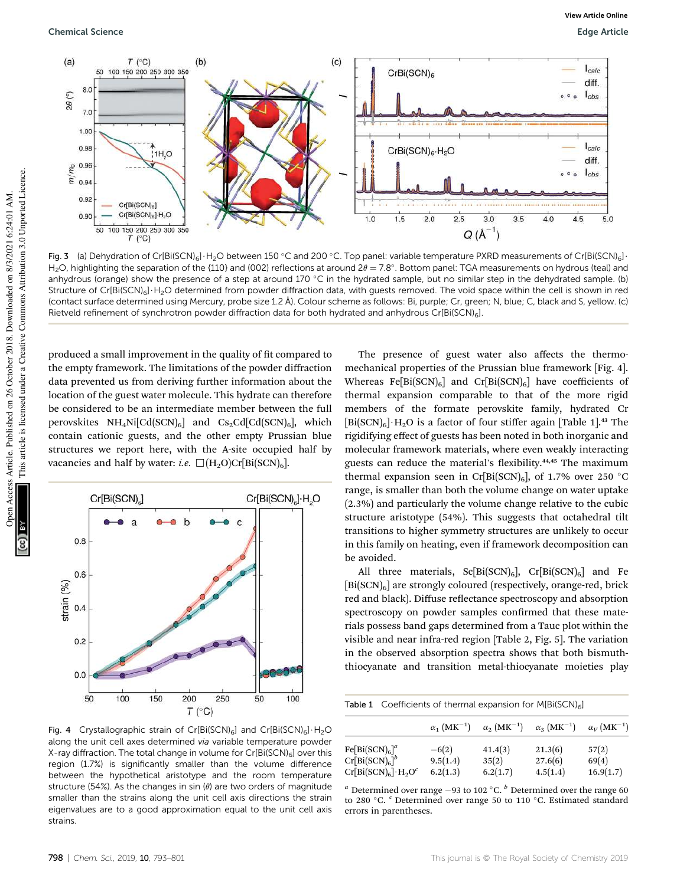

Fig. 3 (a) Dehydration of Cr[Bi(SCN)<sub>6</sub>] $\cdot$ H<sub>2</sub>O between 150 °C and 200 °C. Top panel: variable temperature PXRD measurements of Cr[Bi(SCN)<sub>6</sub>]  $H_2O$ , highlighting the separation of the {110} and (002) reflections at around 2 $\theta = 7.8^{\circ}$ . Bottom panel: TGA measurements on hydrous (teal) and anhydrous (orange) show the presence of a step at around 170 °C in the hydrated sample, but no similar step in the dehydrated sample. (b) Structure of Cr[Bi(SCN)<sub>6</sub>] H<sub>2</sub>O determined from powder diffraction data, with guests removed. The void space within the cell is shown in red (contact surface determined using Mercury, probe size 1.2 A). Colour scheme as follows: Bi, purple; Cr, green; N, blue; C, black and S, yellow. (c) ˚ Rietveld refinement of synchrotron powder diffraction data for both hydrated and anhydrous Cr[Bi(SCN)6].

produced a small improvement in the quality of fit compared to the empty framework. The limitations of the powder diffraction data prevented us from deriving further information about the location of the guest water molecule. This hydrate can therefore be considered to be an intermediate member between the full perovskites  $NH_4Ni[Cd(SCN)_6]$  and  $Cs_2Cd[Cd(SCN)_6]$ , which contain cationic guests, and the other empty Prussian blue structures we report here, with the A-site occupied half by vacancies and half by water: *i.e.*  $\Box(H_2O)Cr[Bi(SCN)_6]$ .



Fig. 4 Crystallographic strain of Cr[Bi(SCN)<sub>6</sub>] and Cr[Bi(SCN)<sub>6</sub>]  $\cdot$  H<sub>2</sub>O along the unit cell axes determined via variable temperature powder X-ray diffraction. The total change in volume for  $Cr[Bi(SCN)_6]$  over this region (1.7%) is significantly smaller than the volume difference between the hypothetical aristotype and the room temperature structure (54%). As the changes in sin ( $\theta$ ) are two orders of magnitude smaller than the strains along the unit cell axis directions the strain eigenvalues are to a good approximation equal to the unit cell axis strains.

The presence of guest water also affects the thermomechanical properties of the Prussian blue framework [Fig. 4]. Whereas Fe[Bi(SCN)<sub>6</sub>] and Cr[Bi(SCN)<sub>6</sub>] have coefficients of thermal expansion comparable to that of the more rigid members of the formate perovskite family, hydrated Cr  $[Bi(SCN)_6] \cdot H_2O$  is a factor of four stiffer again [Table 1].<sup>43</sup> The rigidifying effect of guests has been noted in both inorganic and molecular framework materials, where even weakly interacting guests can reduce the material's flexibility.<sup>44,45</sup> The maximum thermal expansion seen in Cr[Bi(SCN)<sub>6</sub>], of 1.7% over 250 °C range, is smaller than both the volume change on water uptake (2.3%) and particularly the volume change relative to the cubic structure aristotype (54%). This suggests that octahedral tilt transitions to higher symmetry structures are unlikely to occur in this family on heating, even if framework decomposition can be avoided.

All three materials,  $Sc[Bi(SCN)_6]$ ,  $Cr[Bi(SCN)_6]$  and Fe [Bi(SCN)<sub>6</sub>] are strongly coloured (respectively, orange-red, brick red and black). Diffuse reflectance spectroscopy and absorption spectroscopy on powder samples confirmed that these materials possess band gaps determined from a Tauc plot within the visible and near infra-red region [Table 2, Fig. 5]. The variation in the observed absorption spectra shows that both bismuththiocyanate and transition metal-thiocyanate moieties play

Table 1 Coefficients of thermal expansion for  $M[\text{Bi}(\text{SCN})_6]$ 

|                                                             | $\alpha_1$ (MK <sup>-1</sup> ) | $\alpha_2$ (MK <sup>-1</sup> ) | $\alpha_3$ (MK <sup>-1</sup> ) | $\alpha_V(MK^{-1})$ |  |
|-------------------------------------------------------------|--------------------------------|--------------------------------|--------------------------------|---------------------|--|
| Fe[Bi(SCN) <sub>6</sub> ] <sup>a</sup><br>$Cr[Bi(SCN)_6]^b$ | $-6(2)$<br>9.5(1.4)            | 41.4(3)<br>35(2)               | 21.3(6)<br>27.6(6)             | 57(2)<br>69(4)      |  |
| $Cr[Bi(SCN)6]\cdot H_2O^c$                                  | 6.2(1.3)                       | 6.2(1.7)                       | 4.5(1.4)                       | 16.9(1.7)           |  |

 $^a$  Determined over range -93 to 102  $^{\circ}$ C.  $^b$  Determined over the range 60 to 280 °C. <sup>c</sup> Determined over range 50 to 110 °C. Estimated standard errors in parentheses.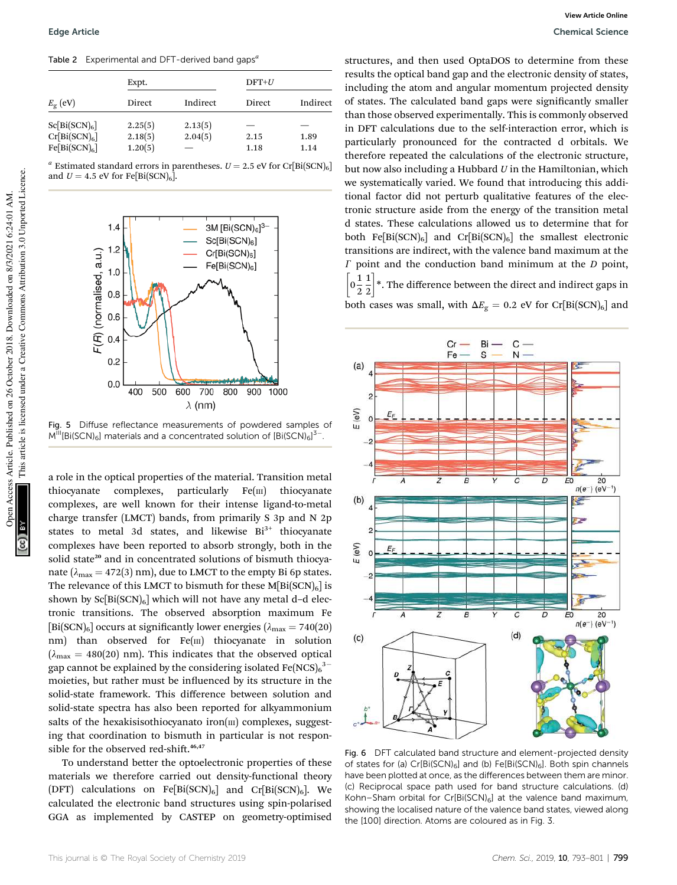Table 2 Experimental and DFT-derived band gaps*<sup>a</sup>*

|                                                                           | Expt.                         |                    | $DFT+U$      |              |
|---------------------------------------------------------------------------|-------------------------------|--------------------|--------------|--------------|
| $E_{\rm g}$ (eV)                                                          | Direct                        | Indirect           | Direct       | Indirect     |
| Sc[Bi(SCN) <sub>6</sub> ]<br>$Cr[Bi(SCN)_6]$<br>Fe[Bi(SCN) <sub>6</sub> ] | 2.25(5)<br>2.18(5)<br>1.20(5) | 2.13(5)<br>2.04(5) | 2.15<br>1.18 | 1.89<br>1.14 |

 $^a$  Estimated standard errors in parentheses.  $U = 2.5$  eV for Cr[Bi(SCN)<sub>6</sub>] and  $U = 4.5$  eV for Fe[Bi(SCN)<sub>6</sub>].



Fig. 5 Diffuse reflectance measurements of powdered samples of  $M^{\text{III}}[\text{Bi}(\text{SCN})_{6}]$  materials and a concentrated solution of  $[\text{Bi}(\text{SCN})_{6}]^{3-1}$ .

a role in the optical properties of the material. Transition metal thiocyanate complexes, particularly  $Fe(m)$  thiocyanate complexes, are well known for their intense ligand-to-metal charge transfer (LMCT) bands, from primarily S 3p and N 2p states to metal 3d states, and likewise  $Bi<sup>3+</sup>$  thiocyanate complexes have been reported to absorb strongly, both in the solid state<sup>20</sup> and in concentrated solutions of bismuth thiocyanate ( $\lambda_{\text{max}} = 472(3)$  nm), due to LMCT to the empty Bi 6p states. The relevance of this LMCT to bismuth for these  $M[Bi(SCN)_6]$  is shown by  $Sc[Bi(SCN)_6]$  which will not have any metal d-d electronic transitions. The observed absorption maximum Fe [Bi(SCN)<sub>6</sub>] occurs at significantly lower energies ( $\lambda_{\text{max}} = 740(20)$ nm) than observed for Fe(III) thiocyanate in solution  $(\lambda_{\text{max}} = 480(20) \text{ nm})$ . This indicates that the observed optical gap cannot be explained by the considering isolated Fe(NCS) $_6^{3-}$ moieties, but rather must be influenced by its structure in the solid-state framework. This difference between solution and solid-state spectra has also been reported for alkyammonium salts of the hexakisisothiocyanato iron( $\text{III}$ ) complexes, suggesting that coordination to bismuth in particular is not responsible for the observed red-shift.<sup>46,47</sup>

To understand better the optoelectronic properties of these materials we therefore carried out density-functional theory (DFT) calculations on Fe[Bi(SCN)<sub>6</sub>] and Cr[Bi(SCN)<sub>6</sub>]. We calculated the electronic band structures using spin-polarised GGA as implemented by CASTEP on geometry-optimised structures, and then used OptaDOS to determine from these results the optical band gap and the electronic density of states, including the atom and angular momentum projected density of states. The calculated band gaps were significantly smaller than those observed experimentally. This is commonly observed in DFT calculations due to the self-interaction error, which is particularly pronounced for the contracted d orbitals. We therefore repeated the calculations of the electronic structure, but now also including a Hubbard *U* in the Hamiltonian, which we systematically varied. We found that introducing this additional factor did not perturb qualitative features of the electronic structure aside from the energy of the transition metal d states. These calculations allowed us to determine that for both Fe[Bi(SCN)<sub>6</sub>] and Cr[Bi(SCN)<sub>6</sub>] the smallest electronic transitions are indirect, with the valence band maximum at the  $\Gamma$  point and the conduction band minimum at the  $D$  point,  $\left[0\frac{1}{2}\right]$ 2 1 2 1 \*. The difference between the direct and indirect gaps in

both cases was small, with  $\Delta E_{\rm g} = 0.2$  eV for Cr[Bi(SCN)<sub>6</sub>] and



Fig. 6 DFT calculated band structure and element-projected density of states for (a)  $Cr[Bi(SCN)<sub>6</sub>]$  and (b)  $Fe[Bi(SCN)<sub>6</sub>]$ . Both spin channels have been plotted at once, as the differences between them are minor. (c) Reciprocal space path used for band structure calculations. (d) Kohn–Sham orbital for Cr[Bi(SCN) $_6$ ] at the valence band maximum, showing the localised nature of the valence band states, viewed along the [100] direction. Atoms are coloured as in Fig. 3.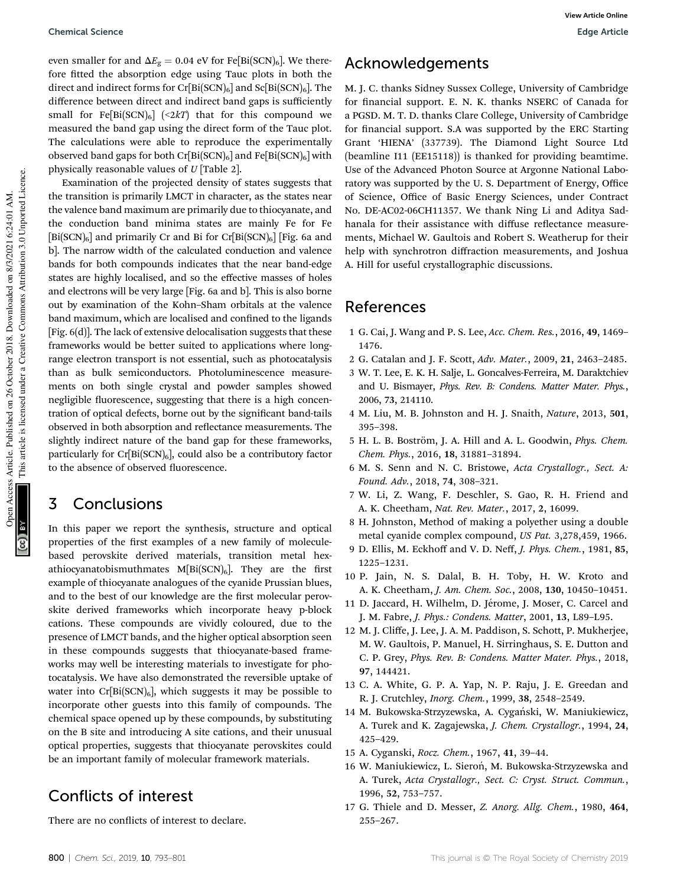even smaller for and  $\Delta E_{\rm g} = 0.04$  eV for Fe[Bi(SCN)<sub>6</sub>]. We therefore fitted the absorption edge using Tauc plots in both the direct and indirect forms for  $Cr[Bi(SCN)_6]$  and  $Sc[Bi(SCN)_6]$ . The difference between direct and indirect band gaps is sufficiently small for Fe[Bi(SCN)<sub>6</sub>] (<2kT) that for this compound we measured the band gap using the direct form of the Tauc plot. The calculations were able to reproduce the experimentally observed band gaps for both  $Cr[Bi(SCN)_6]$  and  $Fe[Bi(SCN)_6]$  with physically reasonable values of *U* [Table 2].

Examination of the projected density of states suggests that the transition is primarily LMCT in character, as the states near the valence band maximum are primarily due to thiocyanate, and the conduction band minima states are mainly Fe for Fe  $[Bi(SCN)_6]$  and primarily Cr and Bi for Cr $[Bi(SCN)_6]$  [Fig. 6a and b]. The narrow width of the calculated conduction and valence bands for both compounds indicates that the near band-edge states are highly localised, and so the effective masses of holes and electrons will be very large [Fig. 6a and b]. This is also borne out by examination of the Kohn–Sham orbitals at the valence band maximum, which are localised and confined to the ligands [Fig. 6(d)]. The lack of extensive delocalisation suggests that these frameworks would be better suited to applications where longrange electron transport is not essential, such as photocatalysis than as bulk semiconductors. Photoluminescence measurements on both single crystal and powder samples showed negligible fluorescence, suggesting that there is a high concentration of optical defects, borne out by the significant band-tails observed in both absorption and reflectance measurements. The slightly indirect nature of the band gap for these frameworks, particularly for  $Cr[Bi(SCN)_6]$ , could also be a contributory factor to the absence of observed fluorescence.

### 3 Conclusions

In this paper we report the synthesis, structure and optical properties of the first examples of a new family of moleculebased perovskite derived materials, transition metal hexathiocyanatobismuthmates  $M[Bi(SCN)_6]$ . They are the first example of thiocyanate analogues of the cyanide Prussian blues, and to the best of our knowledge are the first molecular perovskite derived frameworks which incorporate heavy p-block cations. These compounds are vividly coloured, due to the presence of LMCT bands, and the higher optical absorption seen in these compounds suggests that thiocyanate-based frameworks may well be interesting materials to investigate for photocatalysis. We have also demonstrated the reversible uptake of water into  $Cr[Bi(SCN)_6]$ , which suggests it may be possible to incorporate other guests into this family of compounds. The chemical space opened up by these compounds, by substituting on the B site and introducing A site cations, and their unusual optical properties, suggests that thiocyanate perovskites could be an important family of molecular framework materials.

## Conflicts of interest

There are no conflicts of interest to declare.

## Acknowledgements

M. J. C. thanks Sidney Sussex College, University of Cambridge for financial support. E. N. K. thanks NSERC of Canada for a PGSD. M. T. D. thanks Clare College, University of Cambridge for financial support. S.A was supported by the ERC Starting Grant 'HIENA' (337739). The Diamond Light Source Ltd (beamline I11 (EE15118)) is thanked for providing beamtime. Use of the Advanced Photon Source at Argonne National Laboratory was supported by the U. S. Department of Energy, Office of Science, Office of Basic Energy Sciences, under Contract No. DE-AC02-06CH11357. We thank Ning Li and Aditya Sadhanala for their assistance with diffuse reflectance measurements, Michael W. Gaultois and Robert S. Weatherup for their help with synchrotron diffraction measurements, and Joshua A. Hill for useful crystallographic discussions.

### References

- 1 G. Cai, J. Wang and P. S. Lee, *Acc. Chem. Res.*, 2016, 49, 1469– 1476.
- 2 G. Catalan and J. F. Scott, *Adv. Mater.*, 2009, 21, 2463–2485.
- 3 W. T. Lee, E. K. H. Salje, L. Goncalves-Ferreira, M. Daraktchiev and U. Bismayer, *Phys. Rev. B: Condens. Matter Mater. Phys.*, 2006, 73, 214110.
- 4 M. Liu, M. B. Johnston and H. J. Snaith, *Nature*, 2013, 501, 395–398.
- 5 H. L. B. Boström, J. A. Hill and A. L. Goodwin, *Phys. Chem. Chem. Phys.*, 2016, 18, 31881–31894.
- 6 M. S. Senn and N. C. Bristowe, *Acta Crystallogr., Sect. A: Found. Adv.*, 2018, 74, 308–321.
- 7 W. Li, Z. Wang, F. Deschler, S. Gao, R. H. Friend and A. K. Cheetham, *Nat. Rev. Mater.*, 2017, 2, 16099.
- 8 H. Johnston, Method of making a polyether using a double metal cyanide complex compound, *US Pat.* 3,278,459, 1966.
- 9 D. Ellis, M. Eckhoff and V. D. Neff, *J. Phys. Chem.*, 1981, 85, 1225–1231.
- 10 P. Jain, N. S. Dalal, B. H. Toby, H. W. Kroto and A. K. Cheetham, *J. Am. Chem. Soc.*, 2008, 130, 10450–10451.
- 11 D. Jaccard, H. Wilhelm, D. Jérome, J. Moser, C. Carcel and J. M. Fabre, *J. Phys.: Condens. Matter*, 2001, 13, L89–L95.
- 12 M. J. Cliffe, J. Lee, J. A. M. Paddison, S. Schott, P. Mukherjee, M. W. Gaultois, P. Manuel, H. Sirringhaus, S. E. Dutton and C. P. Grey, *Phys. Rev. B: Condens. Matter Mater. Phys.*, 2018, 97, 144421.
- 13 C. A. White, G. P. A. Yap, N. P. Raju, J. E. Greedan and R. J. Crutchley, *Inorg. Chem.*, 1999, 38, 2548–2549.
- 14 M. Bukowska-Strzyzewska, A. Cygański, W. Maniukiewicz, A. Turek and K. Zagajewska, *J. Chem. Crystallogr.*, 1994, 24, 425–429.
- 15 A. Cyganski, *Rocz. Chem.*, 1967, 41, 39–44.
- 16 W. Maniukiewicz, L. Sieroń, M. Bukowska-Strzyzewska and A. Turek, *Acta Crystallogr., Sect. C: Cryst. Struct. Commun.*, 1996, 52, 753–757.
- 17 G. Thiele and D. Messer, *Z. Anorg. Allg. Chem.*, 1980, 464, 255–267.